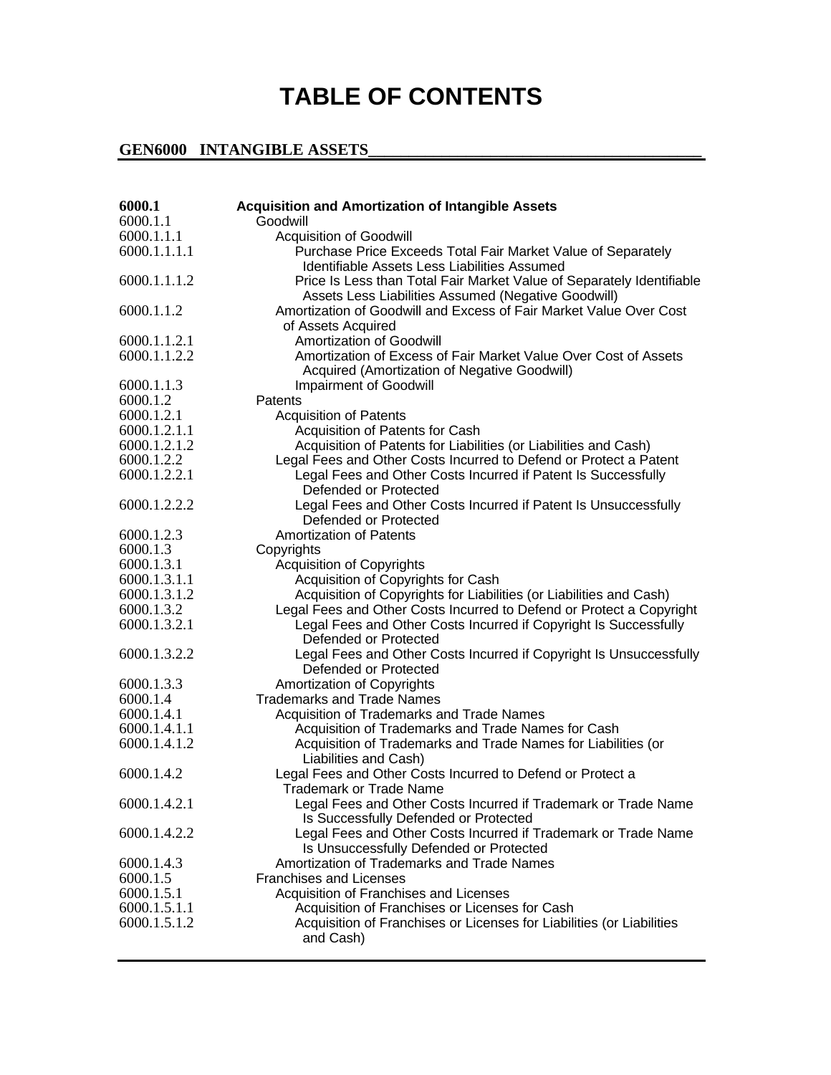## **TABLE OF CONTENTS**

## **GEN6000 INTANGIBLE ASSETS\_\_\_\_\_\_\_\_\_\_\_\_\_\_\_\_\_\_\_\_\_\_\_\_\_\_\_\_\_\_\_\_\_\_\_\_\_\_\_\_\_**

| 6000.1                     | <b>Acquisition and Amortization of Intangible Assets</b>                                        |
|----------------------------|-------------------------------------------------------------------------------------------------|
| 6000.1.1                   | Goodwill                                                                                        |
| 6000.1.1.1                 | <b>Acquisition of Goodwill</b>                                                                  |
| 6000.1.1.1.1               | Purchase Price Exceeds Total Fair Market Value of Separately                                    |
|                            | <b>Identifiable Assets Less Liabilities Assumed</b>                                             |
| 6000.1.1.1.2               | Price Is Less than Total Fair Market Value of Separately Identifiable                           |
|                            | Assets Less Liabilities Assumed (Negative Goodwill)                                             |
| 6000.1.1.2                 | Amortization of Goodwill and Excess of Fair Market Value Over Cost                              |
|                            | of Assets Acquired                                                                              |
| 6000.1.1.2.1               | Amortization of Goodwill                                                                        |
| 6000.1.1.2.2               | Amortization of Excess of Fair Market Value Over Cost of Assets                                 |
|                            | Acquired (Amortization of Negative Goodwill)                                                    |
| 6000.1.1.3                 | <b>Impairment of Goodwill</b>                                                                   |
| 6000.1.2                   | Patents                                                                                         |
| 6000.1.2.1                 | <b>Acquisition of Patents</b>                                                                   |
| 6000.1.2.1.1               | Acquisition of Patents for Cash                                                                 |
| 6000.1.2.1.2               | Acquisition of Patents for Liabilities (or Liabilities and Cash)                                |
| 6000.1.2.2                 | Legal Fees and Other Costs Incurred to Defend or Protect a Patent                               |
| 6000.1.2.2.1               | Legal Fees and Other Costs Incurred if Patent Is Successfully                                   |
|                            | Defended or Protected                                                                           |
| 6000.1.2.2.2               | Legal Fees and Other Costs Incurred if Patent Is Unsuccessfully                                 |
|                            | Defended or Protected                                                                           |
| 6000.1.2.3                 | <b>Amortization of Patents</b>                                                                  |
| 6000.1.3                   | Copyrights                                                                                      |
| 6000.1.3.1                 | <b>Acquisition of Copyrights</b>                                                                |
| 6000.1.3.1.1               | Acquisition of Copyrights for Cash                                                              |
| 6000.1.3.1.2               | Acquisition of Copyrights for Liabilities (or Liabilities and Cash)                             |
| 6000.1.3.2                 | Legal Fees and Other Costs Incurred to Defend or Protect a Copyright                            |
| 6000.1.3.2.1               | Legal Fees and Other Costs Incurred if Copyright Is Successfully                                |
|                            | Defended or Protected                                                                           |
| 6000.1.3.2.2               | Legal Fees and Other Costs Incurred if Copyright Is Unsuccessfully                              |
|                            | Defended or Protected                                                                           |
| 6000.1.3.3                 | Amortization of Copyrights                                                                      |
| 6000.1.4                   | <b>Trademarks and Trade Names</b>                                                               |
| 6000.1.4.1<br>6000.1.4.1.1 | Acquisition of Trademarks and Trade Names<br>Acquisition of Trademarks and Trade Names for Cash |
| 6000.1.4.1.2               |                                                                                                 |
|                            | Acquisition of Trademarks and Trade Names for Liabilities (or<br>Liabilities and Cash)          |
| 6000.1.4.2                 |                                                                                                 |
|                            | Legal Fees and Other Costs Incurred to Defend or Protect a<br><b>Trademark or Trade Name</b>    |
| 6000.1.4.2.1               | Legal Fees and Other Costs Incurred if Trademark or Trade Name                                  |
|                            | Is Successfully Defended or Protected                                                           |
| 6000.1.4.2.2               | Legal Fees and Other Costs Incurred if Trademark or Trade Name                                  |
|                            | Is Unsuccessfully Defended or Protected                                                         |
| 6000.1.4.3                 | Amortization of Trademarks and Trade Names                                                      |
| 6000.1.5                   | <b>Franchises and Licenses</b>                                                                  |
| 6000.1.5.1                 | Acquisition of Franchises and Licenses                                                          |
| 6000.1.5.1.1               | Acquisition of Franchises or Licenses for Cash                                                  |
| 6000.1.5.1.2               | Acquisition of Franchises or Licenses for Liabilities (or Liabilities                           |
|                            | and Cash)                                                                                       |
|                            |                                                                                                 |